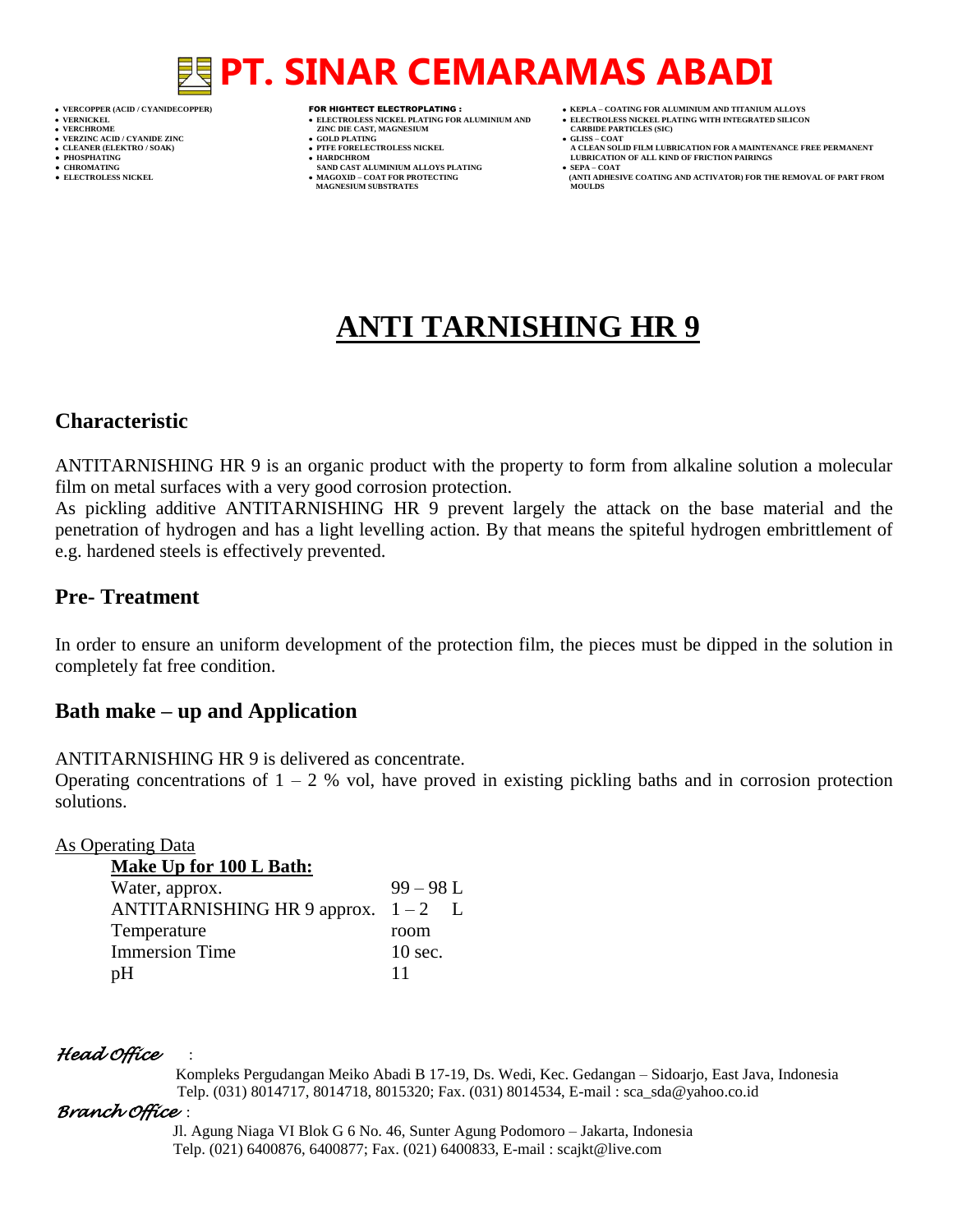# **PT. SINAR CEMARAMAS ABADI**

- 
- 
- 

- 
- 

- **VERFORM ZINC DIE CAST, MAGNESIUM CARBIDE PARTICLES (SIC)**<br> **CARBIDE PARTING**
- **VERZINC ACID / CYANIDE ZINC GOLD PLATING GLISS – COAT**
	-
- **● CHROMATING SAND CAST ALUMINIUM ALLOYS PLATING SEPA – COAT MAGNESIUM SUBSTRATES**
- **VERCOPPER (ACID / CYANIDECOPPER)** FOR HIGHTECT ELECTROPLATING :  **KEPLA – COATING FOR ALUMINIUM AND TITANIUM ALLOYS**
- **VERNICKEL ELECTROLESS NICKEL PLATING FOR ALUMINIUM AND ELECTROLESS NICKEL PLATING WITH INTEGRATED SILICON**
	-
- **CLEANER (ELEKTRO / SOAK) PTFE FORELECTROLESS NICKEL A CLEAN SOLID FILM LUBRICATION FOR A MAINTENANCE FREE PERMANENT ● PHOSPHATING HARDCHROM LUBRICATION OF ALL KIND OF FRICTION PAIRINGS** 
	-
	- **ELECTROLESS AND ACTIVATOR) FOR THE REMOVAL OF PART FROM (ANTI ADHESIVE COATING AND ACTIVATOR) FOR THE REMOVAL OF PART FROM <b>MOULDS**

## **ANTI TARNISHING HR 9**

### **Characteristic**

ANTITARNISHING HR 9 is an organic product with the property to form from alkaline solution a molecular film on metal surfaces with a very good corrosion protection.

As pickling additive ANTITARNISHING HR 9 prevent largely the attack on the base material and the penetration of hydrogen and has a light levelling action. By that means the spiteful hydrogen embrittlement of e.g. hardened steels is effectively prevented.

### **Pre- Treatment**

In order to ensure an uniform development of the protection film, the pieces must be dipped in the solution in completely fat free condition.

### **Bath make – up and Application**

ANTITARNISHING HR 9 is delivered as concentrate.

Operating concentrations of  $1 - 2$  % vol, have proved in existing pickling baths and in corrosion protection solutions.

#### As Operating Data

| Make Up for 100 L Bath:           |             |  |
|-----------------------------------|-------------|--|
| Water, approx.                    | $99 - 98$ L |  |
| ANTITARNISHING HR 9 approx. $1-2$ |             |  |
| Temperature                       | room        |  |
| <b>Immersion Time</b>             | $10$ sec.   |  |
| pH                                | 11          |  |

#### *Head Office* :

 Kompleks Pergudangan Meiko Abadi B 17-19, Ds. Wedi, Kec. Gedangan – Sidoarjo, East Java, Indonesia Telp. (031) 8014717, 8014718, 8015320; Fax. (031) 8014534, E-mail : sca\_sda@yahoo.co.id

#### *Branch Office* :

 Jl. Agung Niaga VI Blok G 6 No. 46, Sunter Agung Podomoro – Jakarta, Indonesia Telp. (021) 6400876, 6400877; Fax. (021) 6400833, E-mail : scajkt@live.com